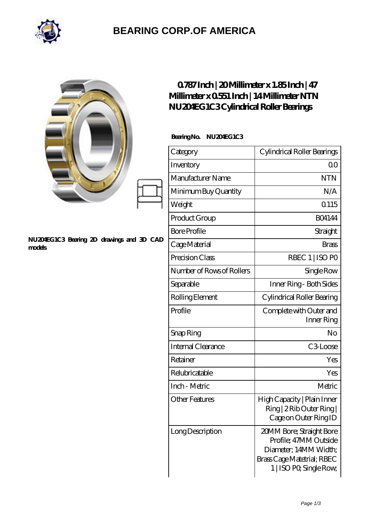

## **[BEARING CORP.OF AMERICA](https://bluemondayreview.com)**

|                                                     | $0787$ Inch   20 Millimeter x 1.85 Inch   47<br>Millimeter x 0551 Inch   14 Millimeter NTN<br>NU204EG1C3Cylindrical Roller Bearings |                                                                                                                                     |
|-----------------------------------------------------|-------------------------------------------------------------------------------------------------------------------------------------|-------------------------------------------------------------------------------------------------------------------------------------|
|                                                     | BearingNo.<br>NU204EG1C3                                                                                                            |                                                                                                                                     |
|                                                     | Category                                                                                                                            | Cylindrical Roller Bearings                                                                                                         |
|                                                     | Inventory                                                                                                                           | 0 <sup>0</sup>                                                                                                                      |
|                                                     | Manufacturer Name                                                                                                                   | <b>NTN</b>                                                                                                                          |
|                                                     | Minimum Buy Quantity                                                                                                                | N/A                                                                                                                                 |
|                                                     | Weight                                                                                                                              | Q115                                                                                                                                |
|                                                     | Product Group                                                                                                                       | <b>BO4144</b>                                                                                                                       |
|                                                     | <b>Bore Profile</b>                                                                                                                 | Straight                                                                                                                            |
| NU204EG1C3 Bearing 2D drawings and 3D CAD<br>models | Cage Material                                                                                                                       | <b>Brass</b>                                                                                                                        |
|                                                     | Precision Class                                                                                                                     | RBEC 1   ISO PO                                                                                                                     |
|                                                     | Number of Rows of Rollers                                                                                                           | Single Row                                                                                                                          |
|                                                     | Separable                                                                                                                           | Inner Ring - Both Sides                                                                                                             |
|                                                     | Rolling Element                                                                                                                     | Cylindrical Roller Bearing                                                                                                          |
|                                                     | Profile                                                                                                                             | Complete with Outer and<br>Inner Ring                                                                                               |
|                                                     | Snap Ring                                                                                                                           | No                                                                                                                                  |
|                                                     | Internal Clearance                                                                                                                  | C3Loose                                                                                                                             |
|                                                     | Retainer                                                                                                                            | Yes                                                                                                                                 |
|                                                     | Relubricatable                                                                                                                      | Yes                                                                                                                                 |
|                                                     | Inch - Metric                                                                                                                       | Metric                                                                                                                              |
|                                                     | <b>Other Features</b>                                                                                                               | High Capacity   Plain Inner<br>Ring   2 Rib Outer Ring  <br>Cage on Outer Ring ID                                                   |
|                                                     | Long Description                                                                                                                    | 20MM Bore; Straight Bore<br>Profile; 47MM Outside<br>Diameter; 14MM Width;<br>Brass Cage Matetrial; RBEC<br>1   ISO PO, Single Row, |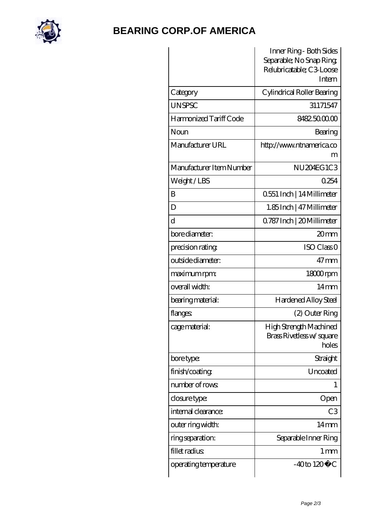

## **[BEARING CORP.OF AMERICA](https://bluemondayreview.com)**

|                          | Inner Ring - Both Sides<br>Separable; No Snap Ring<br>Relubricatable; C3 Loose |
|--------------------------|--------------------------------------------------------------------------------|
|                          | Intern                                                                         |
| Category                 | Cylindrical Roller Bearing                                                     |
| <b>UNSPSC</b>            | 31171547                                                                       |
| Harmonized Tariff Code   | 8482.5000.00                                                                   |
| Noun                     | Bearing                                                                        |
| Manufacturer URL         | http://www.ntnamerica.co                                                       |
|                          | m                                                                              |
| Manufacturer Item Number | NU <sub>204EG</sub> 1C <sub>3</sub>                                            |
| Weight/LBS               | 0254                                                                           |
| B                        | 0.551 Inch   14 Millimeter                                                     |
| D                        | 1.85 Inch   47 Millimeter                                                      |
| d                        | Q787 Inch   20 Millimeter                                                      |
| bore diameter:           | 20mm                                                                           |
| precision rating         | ISO Class <sub>O</sub>                                                         |
| outside diameter:        | $47 \text{mm}$                                                                 |
| maximum rpm:             | 18000rpm                                                                       |
| overall width:           | $14 \text{mm}$                                                                 |
| bearing material:        | Hardened Alloy Steel                                                           |
| flanges:                 | (2) Outer Ring                                                                 |
| cage material:           | High Strength Machined<br>Brass Rivetless w/square<br>holes                    |
| bore type:               | Straight                                                                       |
| finish/coating           | Uncoated                                                                       |
| number of rows:          | 1                                                                              |
| closure type:            | Open                                                                           |
| internal clearance:      | C <sub>3</sub>                                                                 |
| outer ring width:        | 14mm                                                                           |
| ring separation:         | Separable Inner Ring                                                           |
| fillet radius            | 1 <sub>mm</sub>                                                                |
| operating temperature    | $-40$ to $120^{\circ}$ C                                                       |